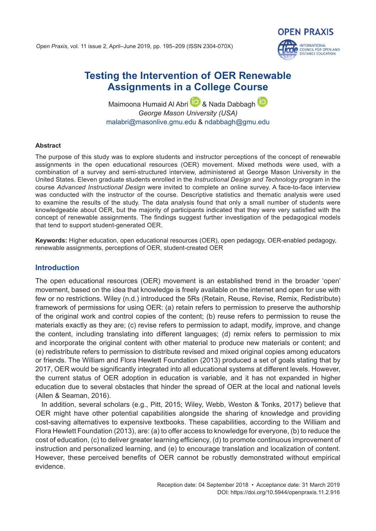*Open Praxis*, vol. 11 issue 2, April–June 2019, pp. 195–209 (ISSN 2304-070X)



# **[Testing the Intervention of OER Renewable](#page-0-0)  [Assignments in a College Course](#page-0-0)**

MaimoonaHumaid Al Abri **D** & Nada Dabbagh **D** *George Mason University (USA)* [malabri@masonlive.gmu.edu](mailto:malabri@masonlive.gmu.edu) & [ndabbagh@gmu.edu](mailto:ndabbagh@gmu.edu)

### **Abstract**

The purpose of this study was to explore students and instructor perceptions of the concept of renewable assignments in the open educational resources (OER) movement. Mixed methods were used, with a combination of a survey and semi-structured interview, administered at George Mason University in the United States. Eleven graduate students enrolled in the *Instructional Design and Technology* program in the course *Advanced Instructional Design* were invited to complete an online survey. A face-to-face interview was conducted with the instructor of the course. Descriptive statistics and thematic analysis were used to examine the results of the study. The data analysis found that only a small number of students were knowledgeable about OER, but the majority of participants indicated that they were very satisfied with the concept of renewable assignments. The findings suggest further investigation of the pedagogical models that tend to support student-generated OER.

**Keywords:** Higher education, open educational resources (OER), open pedagogy, OER-enabled pedagogy, renewable assignments, perceptions of OER, student-created OER

## **Introduction**

The open educational resources (OER) movement is an established trend in the broader 'open' movement, based on the idea that knowledge is freely available on the internet and open for use with few or no restrictions. Wiley (n.d.) introduced the 5Rs (Retain, Reuse, Revise, Remix, Redistribute) framework of permissions for using OER: (a) retain refers to permission to preserve the authorship of the original work and control copies of the content; (b) reuse refers to permission to reuse the materials exactly as they are; (c) revise refers to permission to adapt, modify, improve, and change the content, including translating into different languages; (d) remix refers to permission to mix and incorporate the original content with other material to produce new materials or content; and (e) redistribute refers to permission to distribute revised and mixed original copies among educators or friends. The William and Flora Hewlett Foundation (2013) produced a set of goals stating that by 2017, OER would be significantly integrated into all educational systems at different levels. However, the current status of OER adoption in education is variable, and it has not expanded in higher education due to several obstacles that hinder the spread of OER at the local and national levels (Allen & Seaman, 2016).

<span id="page-0-0"></span>In addition, several scholars (e.g., Pitt, 2015; Wiley, Webb, Weston & Tonks, 2017) believe that OER might have other potential capabilities alongside the sharing of knowledge and providing cost-saving alternatives to expensive textbooks. These capabilities, according to the William and Flora Hewlett Foundation (2013), are: (a) to offer access to knowledge for everyone, (b) to reduce the cost of education, (c) to deliver greater learning efficiency, (d) to promote continuous improvement of instruction and personalized learning, and (e) to encourage translation and localization of content. However, these perceived benefits of OER cannot be robustly demonstrated without empirical evidence.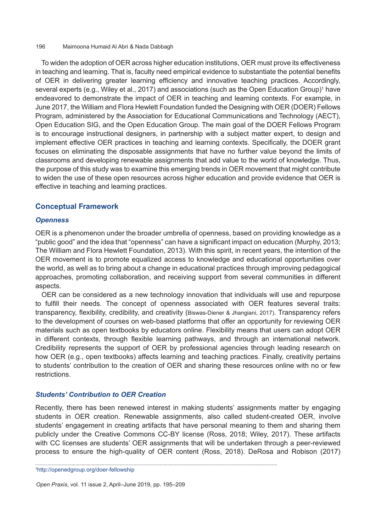To widen the adoption of OER across higher education institutions, OER must prove its effectiveness in teaching and learning. That is, faculty need empirical evidence to substantiate the potential benefits of OER in delivering greater learning efficiency and innovative teaching practices. Accordingly, several experts (e.g., Wiley et al., 2017) and associations (such as the Open Education Group)<sup>1</sup> have endeavored to demonstrate the impact of OER in teaching and learning contexts. For example, in June 2017, the William and Flora Hewlett Foundation funded the Designing with OER (DOER) Fellows Program, administered by the Association for Educational Communications and Technology (AECT), Open Education SIG, and the Open Education Group. The main goal of the DOER Fellows Program is to encourage instructional designers, in partnership with a subject matter expert, to design and implement effective OER practices in teaching and learning contexts. Specifically, the DOER grant focuses on eliminating the disposable assignments that have no further value beyond the limits of classrooms and developing renewable assignments that add value to the world of knowledge. Thus, the purpose of this study was to examine this emerging trends in OER movement that might contribute to widen the use of these open resources across higher education and provide evidence that OER is effective in teaching and learning practices.

## **Conceptual Framework**

## *Openness*

OER is a phenomenon under the broader umbrella of openness, based on providing knowledge as a "public good" and the idea that "openness" can have a significant impact on education (Murphy, 2013; The William and Flora Hewlett Foundation, 2013). With this spirit, in recent years, the intention of the OER movement is to promote equalized access to knowledge and educational opportunities over the world, as well as to bring about a change in educational practices through improving pedagogical approaches, promoting collaboration, and receiving support from several communities in different aspects.

OER can be considered as a new technology innovation that individuals will use and repurpose to fulfill their needs. The concept of openness associated with OER features several traits: transparency, flexibility, credibility, and creativity (Biswas-Diener & Jhangiani, 2017). Transparency refers to the development of courses on web-based platforms that offer an opportunity for reviewing OER materials such as open textbooks by educators online. Flexibility means that users can adopt OER in different contexts, through flexible learning pathways, and through an international network. Credibility represents the support of OER by professional agencies through leading research on how OER (e.g., open textbooks) affects learning and teaching practices. Finally, creativity pertains to students' contribution to the creation of OER and sharing these resources online with no or few restrictions.

## *Students' Contribution to OER Creation*

Recently, there has been renewed interest in making students' assignments matter by engaging students in OER creation. Renewable assignments, also called student-created OER, involve students' engagement in creating artifacts that have personal meaning to them and sharing them publicly under the Creative Commons CC-BY license (Ross, 2018; Wiley, 2017). These artifacts with CC licenses are students' OER assignments that will be undertaken through a peer-reviewed process to ensure the high-quality of OER content (Ross, 2018). DeRosa and Robison (2017)

<sup>1</sup> <http://openedgroup.org/doer-fellowship>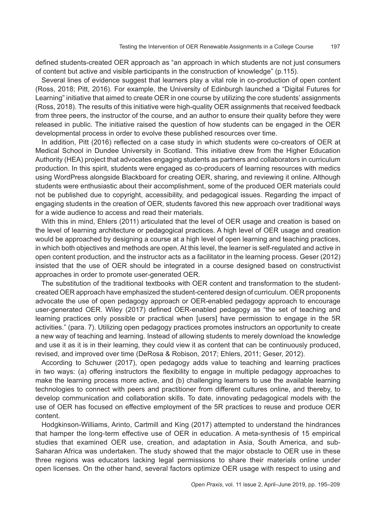defined students-created OER approach as "an approach in which students are not just consumers of content but active and visible participants in the construction of knowledge" (p.115).

Several lines of evidence suggest that learners play a vital role in co-production of open content (Ross, 2018; Pitt, 2016). For example, the University of Edinburgh launched a "Digital Futures for Learning" initiative that aimed to create OER in one course by utilizing the core students' assignments (Ross, 2018). The results of this initiative were high-quality OER assignments that received feedback from three peers, the instructor of the course, and an author to ensure their quality before they were released in public. The initiative raised the question of how students can be engaged in the OER developmental process in order to evolve these published resources over time.

In addition, Pitt (2016) reflected on a case study in which students were co-creators of OER at Medical School in Dundee University in Scotland. This initiative drew from the Higher Education Authority (HEA) project that advocates engaging students as partners and collaborators in curriculum production. In this spirit, students were engaged as co-producers of learning resources with medics using WordPress alongside Blackboard for creating OER, sharing, and reviewing it online. Although students were enthusiastic about their accomplishment, some of the produced OER materials could not be published due to copyright, accessibility, and pedagogical issues. Regarding the impact of engaging students in the creation of OER, students favored this new approach over traditional ways for a wide audience to access and read their materials.

With this in mind, Ehlers (2011) articulated that the level of OER usage and creation is based on the level of learning architecture or pedagogical practices. A high level of OER usage and creation would be approached by designing a course at a high level of open learning and teaching practices, in which both objectives and methods are open. At this level, the learner is self-regulated and active in open content production, and the instructor acts as a facilitator in the learning process. Geser (2012) insisted that the use of OER should be integrated in a course designed based on constructivist approaches in order to promote user-generated OER.

The substitution of the traditional textbooks with OER content and transformation to the studentcreated OER approach have emphasized the student-centered design of curriculum. OER proponents advocate the use of open pedagogy approach or OER-enabled pedagogy approach to encourage user-generated OER. Wiley (2017) defined OER-enabled pedagogy as "the set of teaching and learning practices only possible or practical when [users] have permission to engage in the 5R activities." (para. 7). Utilizing open pedagogy practices promotes instructors an opportunity to create a new way of teaching and learning. Instead of allowing students to merely download the knowledge and use it as it is in their learning, they could view it as content that can be continuously produced, revised, and improved over time (DeRosa & Robison, 2017; Ehlers, 2011; Geser, 2012).

According to Schuwer (2017), open pedagogy adds value to teaching and learning practices in two ways: (a) offering instructors the flexibility to engage in multiple pedagogy approaches to make the learning process more active, and (b) challenging learners to use the available learning technologies to connect with peers and practitioner from different cultures online, and thereby, to develop communication and collaboration skills. To date, innovating pedagogical models with the use of OER has focused on effective employment of the 5R practices to reuse and produce OER content.

Hodgkinson-Williams, Arinto, Cartmill and King (2017) attempted to understand the hindrances that hamper the long-term effective use of OER in education. A meta-synthesis of 15 empirical studies that examined OER use, creation, and adaptation in Asia, South America, and sub-Saharan Africa was undertaken. The study showed that the major obstacle to OER use in these three regions was educators lacking legal permissions to share their materials online under open licenses. On the other hand, several factors optimize OER usage with respect to using and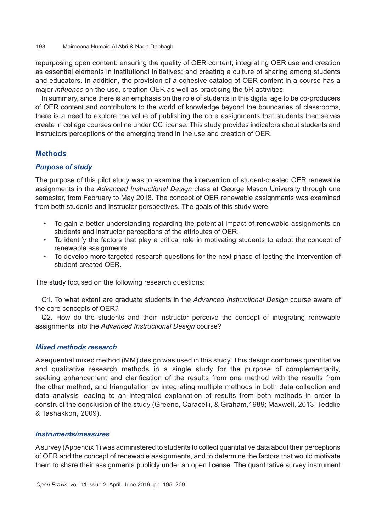repurposing open content: ensuring the quality of OER content; integrating OER use and creation as essential elements in institutional initiatives; and creating a culture of sharing among students and educators. In addition, the provision of a cohesive catalog of OER content in a course has a major *influence* on the use, creation OER as well as practicing the 5R activities.

In summary, since there is an emphasis on the role of students in this digital age to be co-producers of OER content and contributors to the world of knowledge beyond the boundaries of classrooms, there is a need to explore the value of publishing the core assignments that students themselves create in college courses online under CC license. This study provides indicators about students and instructors perceptions of the emerging trend in the use and creation of OER.

## **Methods**

## *Purpose of study*

The purpose of this pilot study was to examine the intervention of student-created OER renewable assignments in the *Advanced Instructional Design* class at George Mason University through one semester, from February to May 2018. The concept of OER renewable assignments was examined from both students and instructor perspectives. The goals of this study were:

- To gain a better understanding regarding the potential impact of renewable assignments on students and instructor perceptions of the attributes of OER.
- To identify the factors that play a critical role in motivating students to adopt the concept of renewable assignments.
- To develop more targeted research questions for the next phase of testing the intervention of student-created OER.

The study focused on the following research questions:

Q1. To what extent are graduate students in the *Advanced Instructional Design* course aware of the core concepts of OER?

Q2. How do the students and their instructor perceive the concept of integrating renewable assignments into the *Advanced Instructional Design* course?

## *Mixed methods research*

A sequential mixed method (MM) design was used in this study. This design combines quantitative and qualitative research methods in a single study for the purpose of complementarity, seeking enhancement and clarification of the results from one method with the results from the other method, and triangulation by integrating multiple methods in both data collection and data analysis leading to an integrated explanation of results from both methods in order to construct the conclusion of the study (Greene, Caracelli, & Graham,1989; Maxwell, 2013; Teddlie & Tashakkori, 2009).

## *Instruments/measures*

A survey (Appendix 1) was administered to students to collect quantitative data about their perceptions of OER and the concept of renewable assignments, and to determine the factors that would motivate them to share their assignments publicly under an open license. The quantitative survey instrument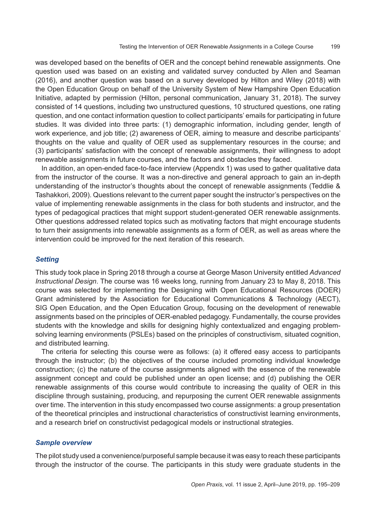was developed based on the benefits of OER and the concept behind renewable assignments. One question used was based on an existing and validated survey conducted by Allen and Seaman (2016), and another question was based on a survey developed by Hilton and Wiley (2018) with the Open Education Group on behalf of the University System of New Hampshire Open Education Initiative, adapted by permission (Hilton, personal communication, January 31, 2018). The survey consisted of 14 questions, including two unstructured questions, 10 structured questions, one rating question, and one contact information question to collect participants' emails for participating in future studies. It was divided into three parts: (1) demographic information, including gender, length of work experience, and job title; (2) awareness of OER, aiming to measure and describe participants' thoughts on the value and quality of OER used as supplementary resources in the course; and (3) participants' satisfaction with the concept of renewable assignments, their willingness to adopt renewable assignments in future courses, and the factors and obstacles they faced.

In addition, an open-ended face-to-face interview (Appendix 1) was used to gather qualitative data from the instructor of the course. It was a non-directive and general approach to gain an in-depth understanding of the instructor's thoughts about the concept of renewable assignments (Teddlie & Tashakkori, 2009). Questions relevant to the current paper sought the instructor's perspectives on the value of implementing renewable assignments in the class for both students and instructor, and the types of pedagogical practices that might support student-generated OER renewable assignments. Other questions addressed related topics such as motivating factors that might encourage students to turn their assignments into renewable assignments as a form of OER, as well as areas where the intervention could be improved for the next iteration of this research.

## *Setting*

This study took place in Spring 2018 through a course at George Mason University entitled *Advanced Instructional Design*. The course was 16 weeks long, running from January 23 to May 8, 2018. This course was selected for implementing the Designing with Open Educational Resources (DOER) Grant administered by the Association for Educational Communications & Technology (AECT), SIG Open Education, and the Open Education Group, focusing on the development of renewable assignments based on the principles of OER-enabled pedagogy. Fundamentally, the course provides students with the knowledge and skills for designing highly contextualized and engaging problemsolving learning environments (PSLEs) based on the principles of constructivism, situated cognition, and distributed learning.

The criteria for selecting this course were as follows: (a) it offered easy access to participants through the instructor; (b) the objectives of the course included promoting individual knowledge construction; (c) the nature of the course assignments aligned with the essence of the renewable assignment concept and could be published under an open license; and (d) publishing the OER renewable assignments of this course would contribute to increasing the quality of OER in this discipline through sustaining, producing, and repurposing the current OER renewable assignments over time. The intervention in this study encompassed two course assignments: a group presentation of the theoretical principles and instructional characteristics of constructivist learning environments, and a research brief on constructivist pedagogical models or instructional strategies.

#### *Sample overview*

The pilot study used a convenience/purposeful sample because it was easy to reach these participants through the instructor of the course. The participants in this study were graduate students in the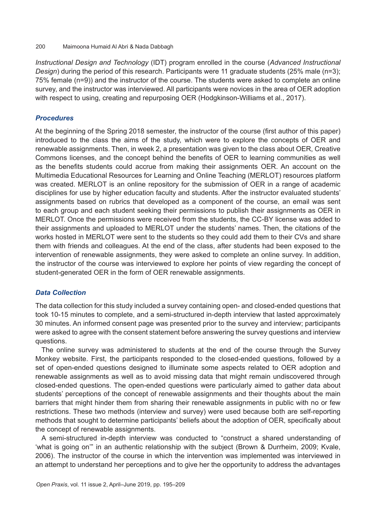*Instructional Design and Technology* (IDT) program enrolled in the course (*Advanced Instructional Design*) during the period of this research. Participants were 11 graduate students (25% male (n=3); 75% female (n=9)) and the instructor of the course. The students were asked to complete an online survey, and the instructor was interviewed. All participants were novices in the area of OER adoption with respect to using, creating and repurposing OER (Hodgkinson-Williams et al., 2017).

## *Procedures*

At the beginning of the Spring 2018 semester, the instructor of the course (first author of this paper) introduced to the class the aims of the study, which were to explore the concepts of OER and renewable assignments. Then, in week 2, a presentation was given to the class about OER, Creative Commons licenses, and the concept behind the benefits of OER to learning communities as well as the benefits students could accrue from making their assignments OER. An account on the Multimedia Educational Resources for Learning and Online Teaching (MERLOT) resources platform was created. MERLOT is an online repository for the submission of OER in a range of academic disciplines for use by higher education faculty and students. After the instructor evaluated students' assignments based on rubrics that developed as a component of the course, an email was sent to each group and each student seeking their permissions to publish their assignments as OER in MERLOT. Once the permissions were received from the students, the CC-BY license was added to their assignments and uploaded to MERLOT under the students' names. Then, the citations of the works hosted in MERLOT were sent to the students so they could add them to their CVs and share them with friends and colleagues. At the end of the class, after students had been exposed to the intervention of renewable assignments, they were asked to complete an online survey. In addition, the instructor of the course was interviewed to explore her points of view regarding the concept of student-generated OER in the form of OER renewable assignments.

## *Data Collection*

The data collection for this study included a survey containing open- and closed-ended questions that took 10-15 minutes to complete, and a semi-structured in-depth interview that lasted approximately 30 minutes. An informed consent page was presented prior to the survey and interview; participants were asked to agree with the consent statement before answering the survey questions and interview questions.

The online survey was administered to students at the end of the course through the Survey Monkey website. First, the participants responded to the closed-ended questions, followed by a set of open-ended questions designed to illuminate some aspects related to OER adoption and renewable assignments as well as to avoid missing data that might remain undiscovered through closed-ended questions. The open-ended questions were particularly aimed to gather data about students' perceptions of the concept of renewable assignments and their thoughts about the main barriers that might hinder them from sharing their renewable assignments in public with no or few restrictions. These two methods (interview and survey) were used because both are self-reporting methods that sought to determine participants' beliefs about the adoption of OER, specifically about the concept of renewable assignments.

A semi-structured in-depth interview was conducted to "construct a shared understanding of 'what is going on'" in an authentic relationship with the subject (Brown & Durrheim, 2009; Kvale, 2006). The instructor of the course in which the intervention was implemented was interviewed in an attempt to understand her perceptions and to give her the opportunity to address the advantages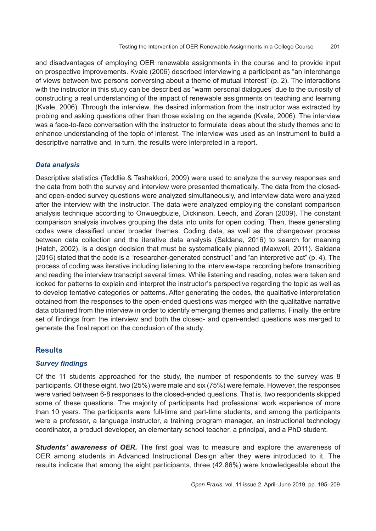and disadvantages of employing OER renewable assignments in the course and to provide input on prospective improvements. Kvale (2006) described interviewing a participant as "an interchange of views between two persons conversing about a theme of mutual interest" (p. 2). The interactions with the instructor in this study can be described as "warm personal dialogues" due to the curiosity of constructing a real understanding of the impact of renewable assignments on teaching and learning (Kvale, 2006). Through the interview, the desired information from the instructor was extracted by probing and asking questions other than those existing on the agenda (Kvale, 2006). The interview was a face-to-face conversation with the instructor to formulate ideas about the study themes and to enhance understanding of the topic of interest. The interview was used as an instrument to build a descriptive narrative and, in turn, the results were interpreted in a report.

## *Data analysis*

Descriptive statistics (Teddlie & Tashakkori, 2009) were used to analyze the survey responses and the data from both the survey and interview were presented thematically. The data from the closedand open-ended survey questions were analyzed simultaneously, and interview data were analyzed after the interview with the instructor. The data were analyzed employing the constant comparison analysis technique according to Onwuegbuzie, Dickinson, Leech, and Zoran (2009). The constant comparison analysis involves grouping the data into units for open coding. Then, these generating codes were classified under broader themes. Coding data, as well as the changeover process between data collection and the iterative data analysis (Saldana, 2016) to search for meaning (Hatch, 2002), is a design decision that must be systematically planned (Maxwell, 2011). Saldana (2016) stated that the code is a "researcher-generated construct" and "an interpretive act" (p. 4). The process of coding was iterative including listening to the interview-tape recording before transcribing and reading the interview transcript several times. While listening and reading, notes were taken and looked for patterns to explain and interpret the instructor's perspective regarding the topic as well as to develop tentative categories or patterns. After generating the codes, the qualitative interpretation obtained from the responses to the open-ended questions was merged with the qualitative narrative data obtained from the interview in order to identify emerging themes and patterns. Finally, the entire set of findings from the interview and both the closed- and open-ended questions was merged to generate the final report on the conclusion of the study.

## **Results**

## *Survey findings*

Of the 11 students approached for the study, the number of respondents to the survey was 8 participants. Of these eight, two (25%) were male and six (75%) were female. However, the responses were varied between 6-8 responses to the closed-ended questions. That is, two respondents skipped some of these questions. The majority of participants had professional work experience of more than 10 years. The participants were full-time and part-time students, and among the participants were a professor, a language instructor, a training program manager, an instructional technology coordinator, a product developer, an elementary school teacher, a principal, and a PhD student.

*Students' awareness of OER.* The first goal was to measure and explore the awareness of OER among students in Advanced Instructional Design after they were introduced to it. The results indicate that among the eight participants, three (42.86%) were knowledgeable about the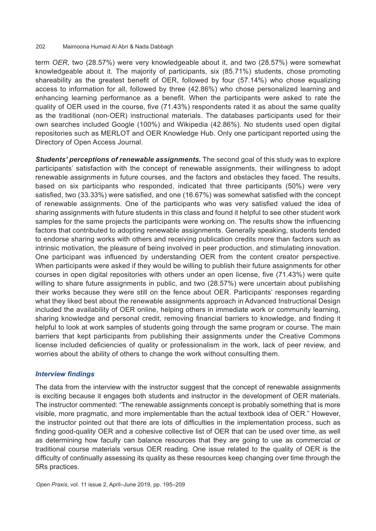term *OER*, two (28.57%) were very knowledgeable about it, and two (28.57%) were somewhat knowledgeable about it. The majority of participants, six (85.71%) students, chose promoting shareability as the greatest benefit of OER, followed by four (57.14%) who chose equalizing access to information for all, followed by three (42.86%) who chose personalized learning and enhancing learning performance as a benefit. When the participants were asked to rate the quality of OER used in the course, five (71.43%) respondents rated it as about the same quality as the traditional (non-OER) instructional materials. The databases participants used for their own searches included Google (100%) and Wikipedia (42.86%). No students used open digital repositories such as MERLOT and OER Knowledge Hub. Only one participant reported using the Directory of Open Access Journal.

*Students' perceptions of renewable assignments.* The second goal of this study was to explore participants' satisfaction with the concept of renewable assignments, their willingness to adopt renewable assignments in future courses, and the factors and obstacles they faced. The results, based on six participants who responded, indicated that three participants (50%) were very satisfied, two (33.33%) were satisfied, and one (16.67%) was somewhat satisfied with the concept of renewable assignments. One of the participants who was very satisfied valued the idea of sharing assignments with future students in this class and found it helpful to see other student work samples for the same projects the participants were working on. The results show the influencing factors that contributed to adopting renewable assignments. Generally speaking, students tended to endorse sharing works with others and receiving publication credits more than factors such as intrinsic motivation, the pleasure of being involved in peer production, and stimulating innovation. One participant was influenced by understanding OER from the content creator perspective. When participants were asked if they would be willing to publish their future assignments for other courses in open digital repositories with others under an open license, five (71.43%) were quite willing to share future assignments in public, and two (28.57%) were uncertain about publishing their works because they were still on the fence about OER. Participants' responses regarding what they liked best about the renewable assignments approach in Advanced Instructional Design included the availability of OER online, helping others in immediate work or community learning, sharing knowledge and personal credit, removing financial barriers to knowledge, and finding it helpful to look at work samples of students going through the same program or course. The main barriers that kept participants from publishing their assignments under the Creative Commons license included deficiencies of quality or professionalism in the work, lack of peer review, and worries about the ability of others to change the work without consulting them.

## *Interview findings*

The data from the interview with the instructor suggest that the concept of renewable assignments is exciting because it engages both students and instructor in the development of OER materials. The instructor commented: "The renewable assignments concept is probably something that is more visible, more pragmatic, and more implementable than the actual textbook idea of OER." However, the instructor pointed out that there are lots of difficulties in the implementation process, such as finding good-quality OER and a cohesive collective list of OER that can be used over time, as well as determining how faculty can balance resources that they are going to use as commercial or traditional course materials versus OER reading. One issue related to the quality of OER is the difficulty of continually assessing its quality as these resources keep changing over time through the 5Rs practices.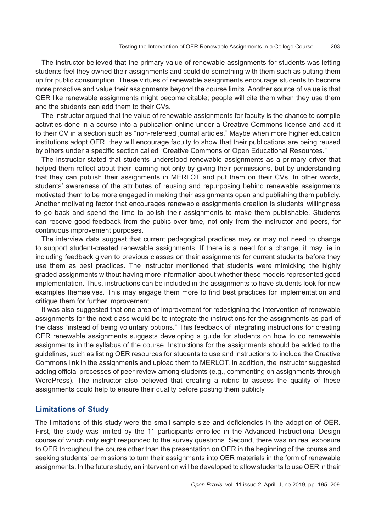The instructor believed that the primary value of renewable assignments for students was letting students feel they owned their assignments and could do something with them such as putting them up for public consumption. These virtues of renewable assignments encourage students to become more proactive and value their assignments beyond the course limits. Another source of value is that OER like renewable assignments might become citable; people will cite them when they use them and the students can add them to their CVs.

The instructor argued that the value of renewable assignments for faculty is the chance to compile activities done in a course into a publication online under a Creative Commons license and add it to their CV in a section such as "non-refereed journal articles." Maybe when more higher education institutions adopt OER, they will encourage faculty to show that their publications are being reused by others under a specific section called "Creative Commons or Open Educational Resources."

The instructor stated that students understood renewable assignments as a primary driver that helped them reflect about their learning not only by giving their permissions, but by understanding that they can publish their assignments in MERLOT and put them on their CVs. In other words, students' awareness of the attributes of reusing and repurposing behind renewable assignments motivated them to be more engaged in making their assignments open and publishing them publicly. Another motivating factor that encourages renewable assignments creation is students' willingness to go back and spend the time to polish their assignments to make them publishable. Students can receive good feedback from the public over time, not only from the instructor and peers, for continuous improvement purposes.

The interview data suggest that current pedagogical practices may or may not need to change to support student-created renewable assignments. If there is a need for a change, it may lie in including feedback given to previous classes on their assignments for current students before they use them as best practices. The instructor mentioned that students were mimicking the highly graded assignments without having more information about whether these models represented good implementation. Thus, instructions can be included in the assignments to have students look for new examples themselves. This may engage them more to find best practices for implementation and critique them for further improvement.

It was also suggested that one area of improvement for redesigning the intervention of renewable assignments for the next class would be to integrate the instructions for the assignments as part of the class "instead of being voluntary options." This feedback of integrating instructions for creating OER renewable assignments suggests developing a guide for students on how to do renewable assignments in the syllabus of the course. Instructions for the assignments should be added to the guidelines, such as listing OER resources for students to use and instructions to include the Creative Commons link in the assignments and upload them to MERLOT. In addition, the instructor suggested adding official processes of peer review among students (e.g., commenting on assignments through WordPress). The instructor also believed that creating a rubric to assess the quality of these assignments could help to ensure their quality before posting them publicly.

## **Limitations of Study**

The limitations of this study were the small sample size and deficiencies in the adoption of OER. First, the study was limited by the 11 participants enrolled in the Advanced Instructional Design course of which only eight responded to the survey questions. Second, there was no real exposure to OER throughout the course other than the presentation on OER in the beginning of the course and seeking students' permissions to turn their assignments into OER materials in the form of renewable assignments. In the future study, an intervention will be developed to allow students to use OER in their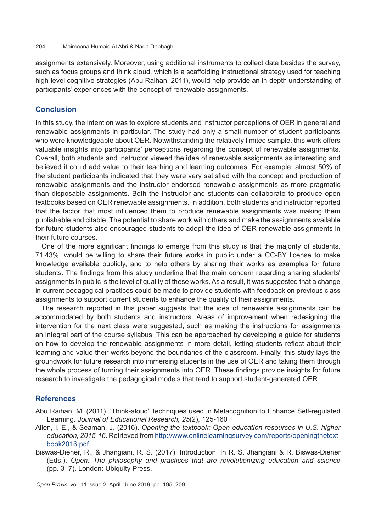assignments extensively. Moreover, using additional instruments to collect data besides the survey, such as focus groups and think aloud, which is a scaffolding instructional strategy used for teaching high-level cognitive strategies (Abu Raihan, 2011), would help provide an in-depth understanding of participants' experiences with the concept of renewable assignments.

## **Conclusion**

In this study, the intention was to explore students and instructor perceptions of OER in general and renewable assignments in particular. The study had only a small number of student participants who were knowledgeable about OER. Notwithstanding the relatively limited sample, this work offers valuable insights into participants' perceptions regarding the concept of renewable assignments. Overall, both students and instructor viewed the idea of renewable assignments as interesting and believed it could add value to their teaching and learning outcomes. For example, almost 50% of the student participants indicated that they were very satisfied with the concept and production of renewable assignments and the instructor endorsed renewable assignments as more pragmatic than disposable assignments. Both the instructor and students can collaborate to produce open textbooks based on OER renewable assignments. In addition, both students and instructor reported that the factor that most influenced them to produce renewable assignments was making them publishable and citable. The potential to share work with others and make the assignments available for future students also encouraged students to adopt the idea of OER renewable assignments in their future courses.

One of the more significant findings to emerge from this study is that the majority of students, 71.43%, would be willing to share their future works in public under a CC-BY license to make knowledge available publicly, and to help others by sharing their works as examples for future students. The findings from this study underline that the main concern regarding sharing students' assignments in public is the level of quality of these works. As a result, it was suggested that a change in current pedagogical practices could be made to provide students with feedback on previous class assignments to support current students to enhance the quality of their assignments.

The research reported in this paper suggests that the idea of renewable assignments can be accommodated by both students and instructors. Areas of improvement when redesigning the intervention for the next class were suggested, such as making the instructions for assignments an integral part of the course syllabus. This can be approached by developing a guide for students on how to develop the renewable assignments in more detail, letting students reflect about their learning and value their works beyond the boundaries of the classroom. Finally, this study lays the groundwork for future research into immersing students in the use of OER and taking them through the whole process of turning their assignments into OER. These findings provide insights for future research to investigate the pedagogical models that tend to support student-generated OER.

## **References**

Abu Raihan, M. (2011). 'Think-aloud' Techniques used in Metacognition to Enhance Self-regulated Learning*. Journal of Educational Research, 25*(2), 125-160

- Allen, I. E., & Seaman, J. (2016). *Opening the textbook: Open education resources in U.S. higher education, 2015-16.* Retrieved from [http://www.onlinelearningsurvey.com/reports/openingthetext](http://www.onlinelearningsurvey.com/reports/openingthetextbook2016.pdf)[book2016.pdf](http://www.onlinelearningsurvey.com/reports/openingthetextbook2016.pdf)
- Biswas-Diener, R., & Jhangiani, R. S. (2017). Introduction. In R. S. Jhangiani & R. Biswas-Diener (Eds.), *Open: The philosophy and practices that are revolutionizing education and science*  (pp. 3–7). London: Ubiquity Press.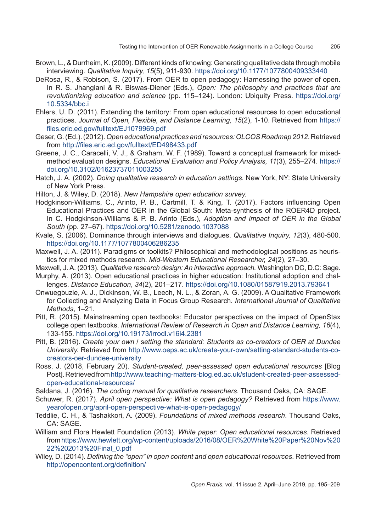- Brown, L., & Durrheim, K. (2009). Different kinds of knowing: Generating qualitative data through mobile interviewing. *Qualitative Inquiry, 15*(5), 911-930. <https://doi.org/10.1177/1077800409333440>
- DeRosa, R., & Robison, S. (2017). From OER to open pedagogy: Harnessing the power of open. In R. S. Jhangiani & R. Biswas-Diener (Eds.), *Open: The philosophy and practices that are revolutionizing education and science* (pp. 115–124). London: Ubiquity Press. [https://doi.org/](https://doi.org/10.5334/bbc.i) [10.5334/bbc.i](https://doi.org/10.5334/bbc.i)
- Ehlers, U. D. (2011). Extending the territory: From open educational resources to open educational practices. *Journal of Open, Flexible, and Distance Learning, 15*(2), 1-10. Retrieved from [https://](https://files.eric.ed.gov/fulltext/EJ1079969.pdf) [files.eric.ed.gov/fulltext/EJ1079969.pdf](https://files.eric.ed.gov/fulltext/EJ1079969.pdf)
- Geser, G. (Ed.). (2012). *Open educational practices and resources: OLCOS Roadmap 2012*. Retrieved from <http://files.eric.ed.gov/fulltext/ED498433.pdf>
- Greene, J. C., Caracelli, V. J., & Graham, W. F. (1989). Toward a conceptual framework for mixedmethod evaluation designs. *Educational Evaluation and Policy Analysis, 11*(3), 255–274. [https://](https://doi.org/10.3102/01623737011003255) [doi.org/10.3102/01623737011003255](https://doi.org/10.3102/01623737011003255)
- Hatch, J. A. (2002). *Doing qualitative research in education settings.* New York, NY: State University of New York Press.
- Hilton, J. & Wiley, D. (2018). *New Hampshire open education survey.*
- Hodgkinson-Williams, C., Arinto, P. B., Cartmill, T. & King, T. (2017). Factors influencing Open Educational Practices and OER in the Global South: Meta-synthesis of the ROER4D project. In C. Hodgkinson-Williams & P. B. Arinto (Eds.), *Adoption and impact of OER in the Global South* (pp. 27–67).<https://doi.org/10.5281/zenodo.1037088>
- Kvale, S. (2006). Dominance through interviews and dialogues. *Qualitative Inquiry, 12*(3), 480-500. <https://doi.org/10.1177/1077800406286235>
- Maxwell, J. A. (2011). Paradigms or toolkits? Philosophical and methodological positions as heuristics for mixed methods research. *Mid-Western Educational Researcher, 24*(2), 27–30.
- Maxwell, J. A. (2013). *Qualitative research design: An interactive approach.* Washington DC, D.C: Sage.
- Murphy, A. (2013). Open educational practices in higher education: Institutional adoption and challenges. *Distance Education*, *34*(2), 201–217.<https://doi.org/10.1080/01587919.2013.793641>
- Onwuegbuzie, A. J., Dickinson, W. B., Leech, N. L., & Zoran, A. G. (2009). A Qualitative Framework for Collecting and Analyzing Data in Focus Group Research. *International Journal of Qualitative Methods*, 1–21.
- Pitt, R. (2015). Mainstreaming open textbooks: Educator perspectives on the impact of OpenStax college open textbooks. *International Review of Research in Open and Distance Learning, 16*(4), 133-155.<https://doi.org/10.19173/irrodl.v16i4.2381>
- Pitt, B. (2016). *Create your own* / s*etting the standard: Students as co-creators of OER at Dundee University.* Retrieved from [http://www.oeps.ac.uk/create-your-own/setting-standard-students-co](http://www.oeps.ac.uk/create-your-own/setting-standard-students-co-creators-oer-dundee-university)[creators-oer-dundee-university](http://www.oeps.ac.uk/create-your-own/setting-standard-students-co-creators-oer-dundee-university)
- Ross, J. (2018, February 20). *Student-created, peer-assessed open educational resources* [Blog Post].Retrieved from[http://www.teaching-matters-blog.ed.ac.uk/student-created-peer-assessed](http://www.teaching-matters-blog.ed.ac.uk/student-created-peer-assessed-open-educational-resources/)[open-educational-resources/](http://www.teaching-matters-blog.ed.ac.uk/student-created-peer-assessed-open-educational-resources/)
- Saldana, J. (2016). *The coding manual for qualitative researchers.* Thousand Oaks, CA: SAGE.
- Schuwer, R. (2017). *April open perspective: What is open pedagogy?* Retrieved from [https://www.](https://www.yearofopen.org/april-open-perspective-what-is-open-pedagogy/) [yearofopen.org/april-open-perspective-what-is-open-pedagogy/](https://www.yearofopen.org/april-open-perspective-what-is-open-pedagogy/)
- Teddlie, C. H., & Tashakkori, A. (2009). *Foundations of mixed methods research*. Thousand Oaks, CA: SAGE.
- William and Flora Hewlett Foundation (2013). *White paper: Open educational resources*. Retrieved from [https://www.hewlett.org/wp-content/uploads/2016/08/OER%20White%20Paper%20Nov%20](https://www.hewlett.org/wp-content/uploads/2016/08/OER%20White%20Paper%20Nov%2022%202013%20Final_0.pdf) [22%202013%20Final\\_0.pdf](https://www.hewlett.org/wp-content/uploads/2016/08/OER%20White%20Paper%20Nov%2022%202013%20Final_0.pdf)
- Wiley, D. (2014). *Defining the "open" in open content and open educational resources*. Retrieved from <http://opencontent.org/definition/>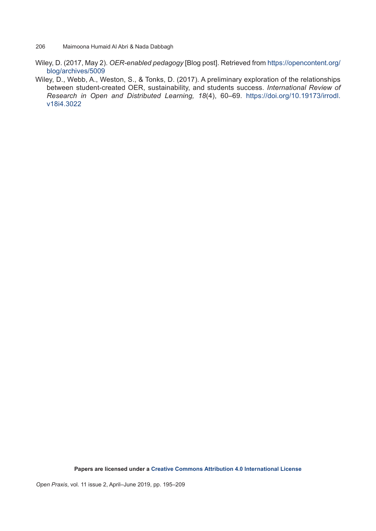- 206 Maimoona Humaid Al Abri & Nada Dabbagh
- Wiley, D. (2017, May 2). *OER-enabled pedagogy* [Blog post]. Retrieved from [https://opencontent.org/](https://opencontent.org/blog/archives/5009) [blog/archives/5009](https://opencontent.org/blog/archives/5009)
- Wiley, D., Webb, A., Weston, S., & Tonks, D. (2017). A preliminary exploration of the relationships between student-created OER, sustainability, and students success. *International Review of Research in Open and Distributed Learning, 18*(4), 60–69. [https://doi.org/10.19173/irrodl.](https://doi.org/10.19173/irrodl.v18i4.3022) [v18i4.3022](https://doi.org/10.19173/irrodl.v18i4.3022)

**Papers are licensed under a [Creative Commons Attribution 4.0 International License](http://creativecommons.org/licenses/by/4.0/)**

*Open Praxis*, vol. 11 issue 2, April–June 2019, pp. 195–209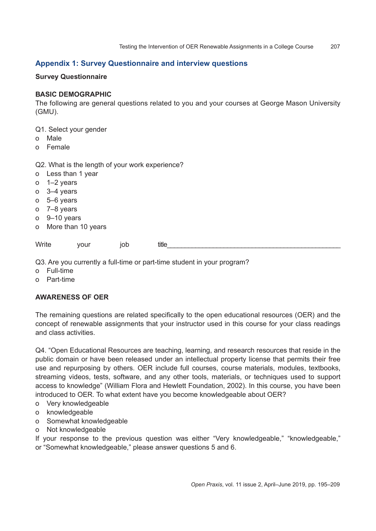## **Appendix 1: Survey Questionnaire and interview questions**

## **Survey Questionnaire**

## **BASIC DEMOGRAPHIC**

The following are general questions related to you and your courses at George Mason University (GMU).

Q1. Select your gender

- o Male
- o Female

## Q2. What is the length of your work experience?

- o Less than 1 year
- o 1–2 years
- o 3–4 years
- o 5–6 years
- o 7–8 years
- o 9–10 years
- o More than 10 years

Write your job title \_\_\_\_\_\_\_\_\_\_\_\_\_\_\_\_\_\_\_\_\_\_\_\_\_\_\_\_\_\_\_\_\_\_\_\_\_\_\_\_\_\_\_\_\_\_\_\_\_

Q3. Are you currently a full-time or part-time student in your program?

- o Full-time
- o Part-time

## **AWARENESS OF OER**

The remaining questions are related specifically to the open educational resources (OER) and the concept of renewable assignments that your instructor used in this course for your class readings and class activities.

Q4. "Open Educational Resources are teaching, learning, and research resources that reside in the public domain or have been released under an intellectual property license that permits their free use and repurposing by others. OER include full courses, course materials, modules, textbooks, streaming videos, tests, software, and any other tools, materials, or techniques used to support access to knowledge" (William Flora and Hewlett Foundation, 2002). In this course, you have been introduced to OER. To what extent have you become knowledgeable about OER?

- o Very knowledgeable
- o knowledgeable
- o Somewhat knowledgeable
- o Not knowledgeable

If your response to the previous question was either "Very knowledgeable," "knowledgeable," or "Somewhat knowledgeable," please answer questions 5 and 6.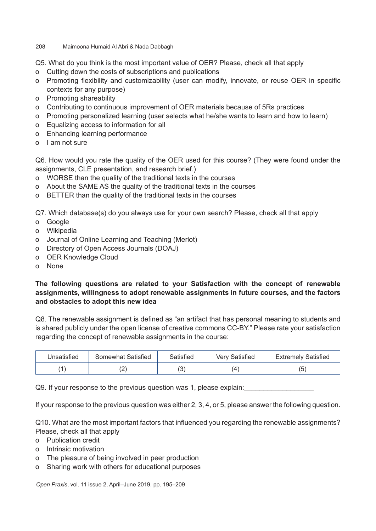Q5. What do you think is the most important value of OER? Please, check all that apply

- o Cutting down the costs of subscriptions and publications
- o Promoting flexibility and customizability (user can modify, innovate, or reuse OER in specific contexts for any purpose)
- o Promoting shareability
- o Contributing to continuous improvement of OER materials because of 5Rs practices
- o Promoting personalized learning (user selects what he/she wants to learn and how to learn)
- o Equalizing access to information for all
- o Enhancing learning performance
- o I am not sure

Q6. How would you rate the quality of the OER used for this course? (They were found under the assignments, CLE presentation, and research brief.)

- o WORSE than the quality of the traditional texts in the courses
- o About the SAME AS the quality of the traditional texts in the courses
- o BETTER than the quality of the traditional texts in the courses

Q7. Which database(s) do you always use for your own search? Please, check all that apply

- o Google
- o Wikipedia
- o Journal of Online Learning and Teaching (Merlot)
- o Directory of Open Access Journals (DOAJ)
- o OER Knowledge Cloud
- o None

## **The following questions are related to your Satisfaction with the concept of renewable assignments, willingness to adopt renewable assignments in future courses, and the factors and obstacles to adopt this new idea**

Q8. The renewable assignment is defined as "an artifact that has personal meaning to students and is shared publicly under the open license of creative commons CC-BY." Please rate your satisfaction regarding the concept of renewable assignments in the course:

| Unsatisfied    | Somewhat Satisfied | Satisfied | Verv Satisfied | <b>Extremely Satisfied</b> |
|----------------|--------------------|-----------|----------------|----------------------------|
| $\overline{A}$ |                    | ں         | Δ              | ้<br>◡                     |

Q9. If your response to the previous question was 1, please explain:

If your response to the previous question was either 2, 3, 4, or 5, please answer the following question.

Q10. What are the most important factors that influenced you regarding the renewable assignments? Please, check all that apply

- o Publication credit
- o Intrinsic motivation
- o The pleasure of being involved in peer production
- o Sharing work with others for educational purposes

*Open Praxis*, vol. 11 issue 2, April–June 2019, pp. 195–209